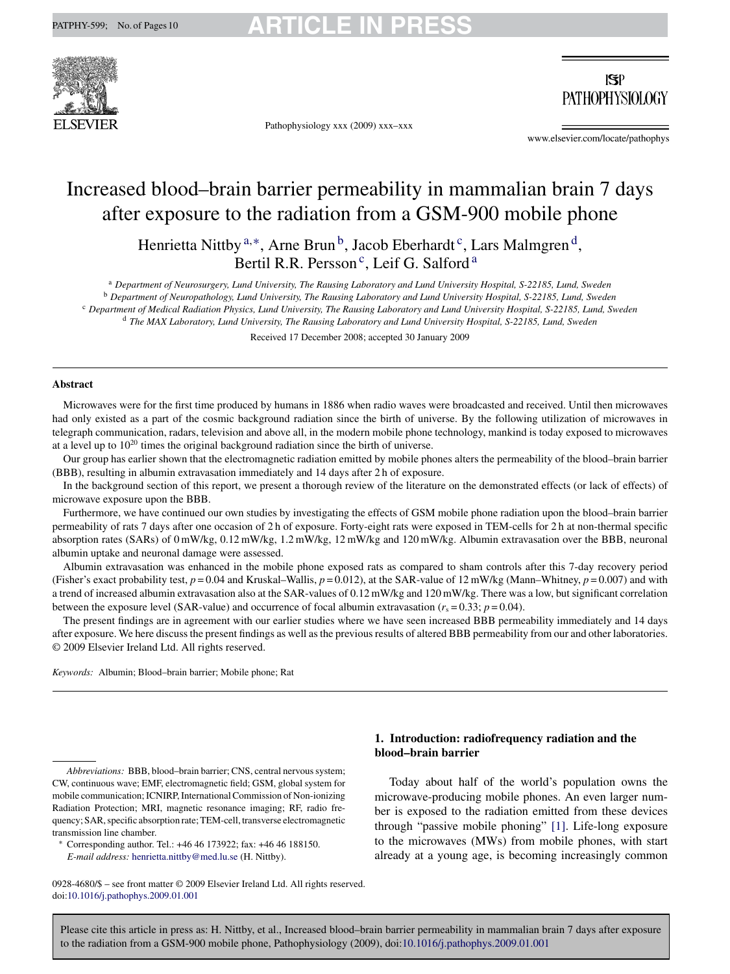

Pathophysiology xxx (2009) xxx–xxx

 $|S|$ **PATHOPHYSIOLOGY** 

www.elsevier.com/locate/pathophys

# <span id="page-0-4"></span><span id="page-0-3"></span><span id="page-0-2"></span><span id="page-0-0"></span>Increased blood–brain barrier permeability in mammalian brain 7 days after exposure to the radiation from a GSM-900 mobile phone

Henrietta Nittby  $a^*$ [,](#page-0-0) [A](#page-0-1)rne Brun<sup>b</sup>, [Ja](#page-0-2)cob Eberhardt<sup>c</sup>, [L](#page-0-3)ars Malmgren<sup>d</sup>, Bertil R.R. Persson<sup>c</sup>, [L](#page-0-3)eif G. S[a](#page-0-0)lford<sup>a</sup>

<sup>a</sup> *Department of Neurosurgery, Lund University, The Rausing Laboratory and Lund University Hospital, S-22185, Lund, Sweden*

<sup>b</sup> *Department of Neuropathology, Lund University, The Rausing Laboratory and Lund University Hospital, S-22185, Lund, Sweden*

<sup>c</sup> *Department of Medical Radiation Physics, Lund University, The Rausing Laboratory and Lund University Hospital, S-22185, Lund, Sweden*

<sup>d</sup> *The MAX Laboratory, Lund University, The Rausing Laboratory and Lund University Hospital, S-22185, Lund, Sweden*

Received 17 December 2008; accepted 30 January 2009

### **Abstract**

Microwaves were for the first time produced by humans in 1886 when radio waves were broadcasted and received. Until then microwaves had only existed as a part of the cosmic background radiation since the birth of universe. By the following utilization of microwaves in telegraph communication, radars, television and above all, in the modern mobile phone technology, mankind is today exposed to microwaves at a level up to  $10^{20}$  times the original background radiation since the birth of universe.

Our group has earlier shown that the electromagnetic radiation emitted by mobile phones alters the permeability of the blood–brain barrier (BBB), resulting in albumin extravasation immediately and 14 days after 2 h of exposure.

In the background section of this report, we present a thorough review of the literature on the demonstrated effects (or lack of effects) of microwave exposure upon the BBB.

Furthermore, we have continued our own studies by investigating the effects of GSM mobile phone radiation upon the blood–brain barrier permeability of rats 7 days after one occasion of 2 h of exposure. Forty-eight rats were exposed in TEM-cells for 2 h at non-thermal specific absorption rates (SARs) of 0 mW/kg, 0.12 mW/kg, 1.2 mW/kg, 12 mW/kg and 120 mW/kg. Albumin extravasation over the BBB, neuronal albumin uptake and neuronal damage were assessed.

Albumin extravasation was enhanced in the mobile phone exposed rats as compared to sham controls after this 7-day recovery period (Fisher's exact probability test,  $p = 0.04$  and Kruskal–Wallis,  $p = 0.012$ ), at the SAR-value of 12 mW/kg (Mann–Whitney,  $p = 0.007$ ) and with a trend of increased albumin extravasation also at the SAR-values of 0.12 mW/kg and 120 mW/kg. There was a low, but significant correlation between the exposure level (SAR-value) and occurrence of focal albumin extravasation  $(r_s = 0.33; p = 0.04)$ .

The present findings are in agreement with our earlier studies where we have seen increased BBB permeability immediately and 14 days after exposure. We here discuss the present findings as well as the previous results of altered BBB permeability from our and other laboratories. © 2009 Elsevier Ireland Ltd. All rights reserved.

*Keywords:* Albumin; Blood–brain barrier; Mobile phone; Rat

# **1. Introduction: radiofrequency radiation and the blood–brain barrier**

Today about half of the world's population owns the microwave-producing mobile phones. An even larger number is exposed to the radiation emitted from these devices through "passive mobile phoning" [\[1\].](#page-7-0) Life-long exposure to the microwaves (MWs) from mobile phones, with start already at a young age, is becoming increasingly common

0928-4680/\$ – see front matter © 2009 Elsevier Ireland Ltd. All rights reserved. doi[:10.1016/j.pathophys.2009.01.001](dx.doi.org/10.1016/j.pathophys.2009.01.001)

<span id="page-0-1"></span>*Abbreviations:* BBB, blood–brain barrier; CNS, central nervous system; CW, continuous wave; EMF, electromagnetic field; GSM, global system for mobile communication; ICNIRP, International Commission of Non-ionizing Radiation Protection; MRI, magnetic resonance imaging; RF, radio frequency; SAR, specific absorption rate; TEM-cell, transverse electromagnetic transmission line chamber.

<sup>∗</sup> Corresponding author. Tel.: +46 46 173922; fax: +46 46 188150. *E-mail address:* [henrietta.nittby@med.lu.se](mailto:henrietta.nittby@med.lu.se) (H. Nittby).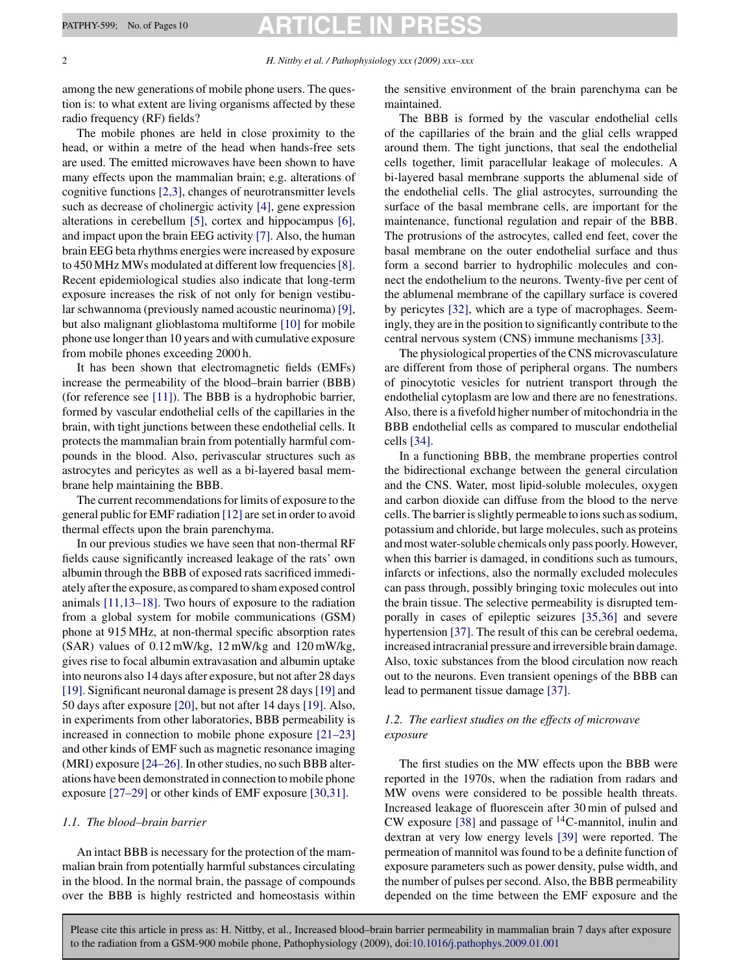among the new generations of mobile phone users. The question is: to what extent are living organisms affected by these radio frequency (RF) fields?

The mobile phones are held in close proximity to the head, or within a metre of the head when hands-free sets are used. The emitted microwaves have been shown to have many effects upon the mammalian brain; e.g. alterations of cognitive functions [\[2,3\],](#page-7-1) changes of neurotransmitter levels such as decrease of cholinergic activity [\[4\],](#page-7-2) gene expression alterations in cerebellum [\[5\],](#page-7-3) cortex and hippocampus [\[6\],](#page-8-0) and impact upon the brain EEG activity [\[7\]. A](#page-8-1)lso, the human brain EEG beta rhythms energies were increased by exposure to 450 MHz MWs modulated at different low frequencies[\[8\].](#page-8-2) Recent epidemiological studies also indicate that long-term exposure increases the risk of not only for benign vestibular schwannoma (previously named acoustic neurinoma) [\[9\],](#page-8-3) but also malignant glioblastoma multiforme [\[10\]](#page-8-4) for mobile phone use longer than 10 years and with cumulative exposure from mobile phones exceeding 2000 h.

It has been shown that electromagnetic fields (EMFs) increase the permeability of the blood–brain barrier (BBB) (for reference see [\[11\]\).](#page-8-5) The BBB is a hydrophobic barrier, formed by vascular endothelial cells of the capillaries in the brain, with tight junctions between these endothelial cells. It protects the mammalian brain from potentially harmful compounds in the blood. Also, perivascular structures such as astrocytes and pericytes as well as a bi-layered basal membrane help maintaining the BBB.

The current recommendations for limits of exposure to the general public for EMF radiation [\[12\]](#page-8-6) are set in order to avoid thermal effects upon the brain parenchyma.

In our previous studies we have seen that non-thermal RF fields cause significantly increased leakage of the rats' own albumin through the BBB of exposed rats sacrificed immediately after the exposure, as compared to sham exposed control animals [\[11,13–18\]. T](#page-8-5)wo hours of exposure to the radiation from a global system for mobile communications (GSM) phone at 915 MHz, at non-thermal specific absorption rates (SAR) values of 0.12 mW/kg, 12 mW/kg and 120 mW/kg, gives rise to focal albumin extravasation and albumin uptake into neurons also 14 days after exposure, but not after 28 days [\[19\]. S](#page-8-7)ignificant neuronal damage is present 28 days[\[19\]](#page-8-7) and 50 days after exposure [\[20\], b](#page-8-8)ut not after 14 days [\[19\]. A](#page-8-7)lso, in experiments from other laboratories, BBB permeability is increased in connection to mobile phone exposure [\[21–23\]](#page-8-9) and other kinds of EMF such as magnetic resonance imaging (MRI) exposure [\[24–26\]. I](#page-8-10)n other studies, no such BBB alterations have been demonstrated in connection to mobile phone exposure [\[27–29\]](#page-8-11) or other kinds of EMF exposure [\[30,31\].](#page-8-12)

### *1.1. The blood–brain barrier*

An intact BBB is necessary for the protection of the mammalian brain from potentially harmful substances circulating in the blood. In the normal brain, the passage of compounds over the BBB is highly restricted and homeostasis within the sensitive environment of the brain parenchyma can be maintained.

The BBB is formed by the vascular endothelial cells of the capillaries of the brain and the glial cells wrapped around them. The tight junctions, that seal the endothelial cells together, limit paracellular leakage of molecules. A bi-layered basal membrane supports the ablumenal side of the endothelial cells. The glial astrocytes, surrounding the surface of the basal membrane cells, are important for the maintenance, functional regulation and repair of the BBB. The protrusions of the astrocytes, called end feet, cover the basal membrane on the outer endothelial surface and thus form a second barrier to hydrophilic molecules and connect the endothelium to the neurons. Twenty-five per cent of the ablumenal membrane of the capillary surface is covered by pericytes [\[32\],](#page-8-13) which are a type of macrophages. Seemingly, they are in the position to significantly contribute to the central nervous system (CNS) immune mechanisms [\[33\].](#page-8-14)

The physiological properties of the CNS microvasculature are different from those of peripheral organs. The numbers of pinocytotic vesicles for nutrient transport through the endothelial cytoplasm are low and there are no fenestrations. Also, there is a fivefold higher number of mitochondria in the BBB endothelial cells as compared to muscular endothelial cells [\[34\].](#page-8-15)

In a functioning BBB, the membrane properties control the bidirectional exchange between the general circulation and the CNS. Water, most lipid-soluble molecules, oxygen and carbon dioxide can diffuse from the blood to the nerve cells. The barrier is slightly permeable to ions such as sodium, potassium and chloride, but large molecules, such as proteins and most water-soluble chemicals only pass poorly. However, when this barrier is damaged, in conditions such as tumours, infarcts or infections, also the normally excluded molecules can pass through, possibly bringing toxic molecules out into the brain tissue. The selective permeability is disrupted temporally in cases of epileptic seizures [\[35,36\]](#page-8-16) and severe hypertension [\[37\]. T](#page-8-17)he result of this can be cerebral oedema, increased intracranial pressure and irreversible brain damage. Also, toxic substances from the blood circulation now reach out to the neurons. Even transient openings of the BBB can lead to permanent tissue damage [\[37\].](#page-8-17)

# *1.2. The earliest studies on the effects of microwave exposure*

The first studies on the MW effects upon the BBB were reported in the 1970s, when the radiation from radars and MW ovens were considered to be possible health threats. Increased leakage of fluorescein after 30 min of pulsed and CW exposure [\[38\]](#page-8-18) and passage of  ${}^{14}$ C-mannitol, inulin and dextran at very low energy levels [\[39\]](#page-8-19) were reported. The permeation of mannitol was found to be a definite function of exposure parameters such as power density, pulse width, and the number of pulses per second. Also, the BBB permeability depended on the time between the EMF exposure and the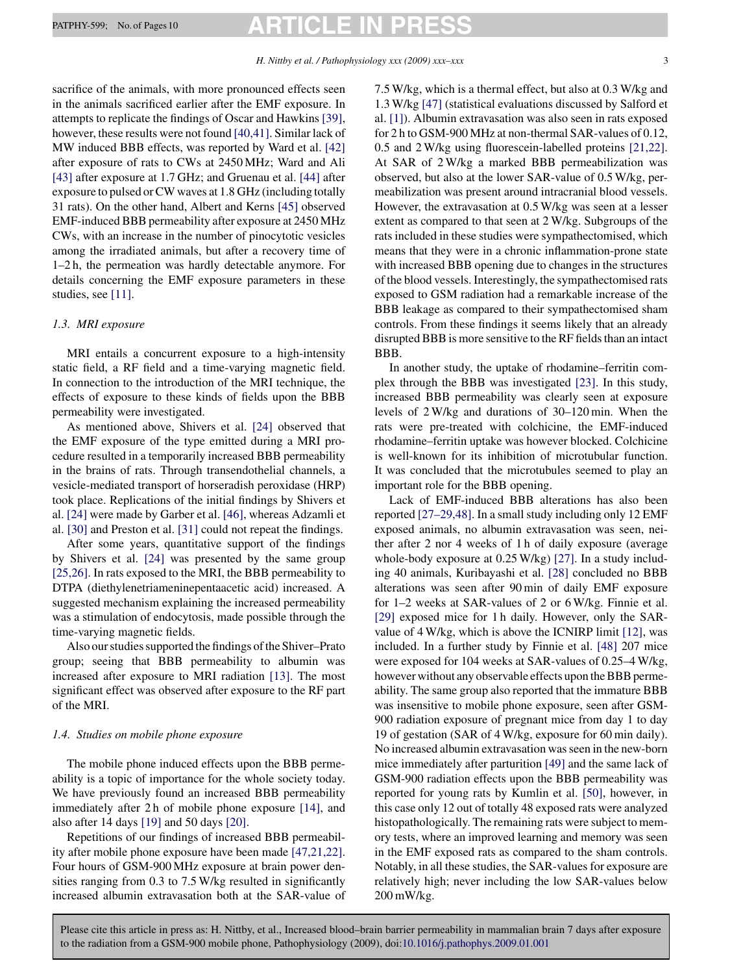sacrifice of the animals, with more pronounced effects seen in the animals sacrificed earlier after the EMF exposure. In attempts to replicate the findings of Oscar and Hawkins [\[39\],](#page-8-19) however, these results were not found [\[40,41\]. S](#page-8-20)imilar lack of MW induced BBB effects, was reported by Ward et al. [\[42\]](#page-8-21) after exposure of rats to CWs at 2450 MHz; Ward and Ali [\[43\]](#page-9-0) after exposure at 1.7 GHz; and Gruenau et al. [\[44\]](#page-9-1) after exposure to pulsed or CW waves at 1.8 GHz (including totally 31 rats). On the other hand, Albert and Kerns [\[45\]](#page-9-2) observed EMF-induced BBB permeability after exposure at 2450 MHz CWs, with an increase in the number of pinocytotic vesicles among the irradiated animals, but after a recovery time of 1–2 h, the permeation was hardly detectable anymore. For details concerning the EMF exposure parameters in these studies, see [\[11\].](#page-8-5)

### *1.3. MRI exposure*

MRI entails a concurrent exposure to a high-intensity static field, a RF field and a time-varying magnetic field. In connection to the introduction of the MRI technique, the effects of exposure to these kinds of fields upon the BBB permeability were investigated.

As mentioned above, Shivers et al. [\[24\]](#page-8-10) observed that the EMF exposure of the type emitted during a MRI procedure resulted in a temporarily increased BBB permeability in the brains of rats. Through transendothelial channels, a vesicle-mediated transport of horseradish peroxidase (HRP) took place. Replications of the initial findings by Shivers et al. [\[24\]](#page-8-10) were made by Garber et al. [\[46\],](#page-9-3) whereas Adzamli et al. [\[30\]](#page-8-12) and Preston et al. [\[31\]](#page-8-22) could not repeat the findings.

After some years, quantitative support of the findings by Shivers et al. [\[24\]](#page-8-10) was presented by the same group [\[25,26\]. I](#page-8-23)n rats exposed to the MRI, the BBB permeability to DTPA (diethylenetriameninepentaacetic acid) increased. A suggested mechanism explaining the increased permeability was a stimulation of endocytosis, made possible through the time-varying magnetic fields.

Also our studies supported the findings of the Shiver–Prato group; seeing that BBB permeability to albumin was increased after exposure to MRI radiation [\[13\].](#page-8-24) The most significant effect was observed after exposure to the RF part of the MRI.

### *1.4. Studies on mobile phone exposure*

The mobile phone induced effects upon the BBB permeability is a topic of importance for the whole society today. We have previously found an increased BBB permeability immediately after 2h of mobile phone exposure [\[14\],](#page-8-25) and also after 14 days [\[19\]](#page-8-7) and 50 days [\[20\].](#page-8-8)

Repetitions of our findings of increased BBB permeability after mobile phone exposure have been made [\[47,21,22\].](#page-9-4) Four hours of GSM-900 MHz exposure at brain power densities ranging from 0.3 to 7.5 W/kg resulted in significantly increased albumin extravasation both at the SAR-value of 7.5 W/kg, which is a thermal effect, but also at 0.3 W/kg and 1.3 W/kg [\[47\]](#page-9-4) (statistical evaluations discussed by Salford et al. [\[1\]\).](#page-7-0) Albumin extravasation was also seen in rats exposed for 2 h to GSM-900 MHz at non-thermal SAR-values of 0.12, 0.5 and 2 W/kg using fluorescein-labelled proteins [\[21,22\].](#page-8-9) At SAR of 2 W/kg a marked BBB permeabilization was observed, but also at the lower SAR-value of 0.5 W/kg, permeabilization was present around intracranial blood vessels. However, the extravasation at 0.5 W/kg was seen at a lesser extent as compared to that seen at 2 W/kg. Subgroups of the rats included in these studies were sympathectomised, which means that they were in a chronic inflammation-prone state with increased BBB opening due to changes in the structures of the blood vessels. Interestingly, the sympathectomised rats exposed to GSM radiation had a remarkable increase of the BBB leakage as compared to their sympathectomised sham controls. From these findings it seems likely that an already disrupted BBB is more sensitive to the RF fields than an intact BBB.

In another study, the uptake of rhodamine–ferritin complex through the BBB was investigated [\[23\].](#page-8-26) In this study, increased BBB permeability was clearly seen at exposure levels of 2 W/kg and durations of 30–120 min. When the rats were pre-treated with colchicine, the EMF-induced rhodamine–ferritin uptake was however blocked. Colchicine is well-known for its inhibition of microtubular function. It was concluded that the microtubules seemed to play an important role for the BBB opening.

Lack of EMF-induced BBB alterations has also been reported [\[27–29,48\]. I](#page-8-11)n a small study including only 12 EMF exposed animals, no albumin extravasation was seen, neither after 2 nor 4 weeks of 1 h of daily exposure (average whole-body exposure at 0.25 W/kg) [\[27\]. I](#page-8-11)n a study including 40 animals, Kuribayashi et al. [\[28\]](#page-8-27) concluded no BBB alterations was seen after 90 min of daily EMF exposure for 1–2 weeks at SAR-values of 2 or 6 W/kg. Finnie et al. [\[29\]](#page-8-28) exposed mice for 1 h daily. However, only the SARvalue of 4 W/kg, which is above the ICNIRP limit [\[12\],](#page-8-6) was included. In a further study by Finnie et al. [\[48\]](#page-9-5) 207 mice were exposed for 104 weeks at SAR-values of 0.25–4 W/kg, however without any observable effects upon the BBB permeability. The same group also reported that the immature BBB was insensitive to mobile phone exposure, seen after GSM-900 radiation exposure of pregnant mice from day 1 to day 19 of gestation (SAR of 4 W/kg, exposure for 60 min daily). No increased albumin extravasation was seen in the new-born mice immediately after parturition [\[49\]](#page-9-6) and the same lack of GSM-900 radiation effects upon the BBB permeability was reported for young rats by Kumlin et al. [\[50\],](#page-9-7) however, in this case only 12 out of totally 48 exposed rats were analyzed histopathologically. The remaining rats were subject to memory tests, where an improved learning and memory was seen in the EMF exposed rats as compared to the sham controls. Notably, in all these studies, the SAR-values for exposure are relatively high; never including the low SAR-values below 200 mW/kg.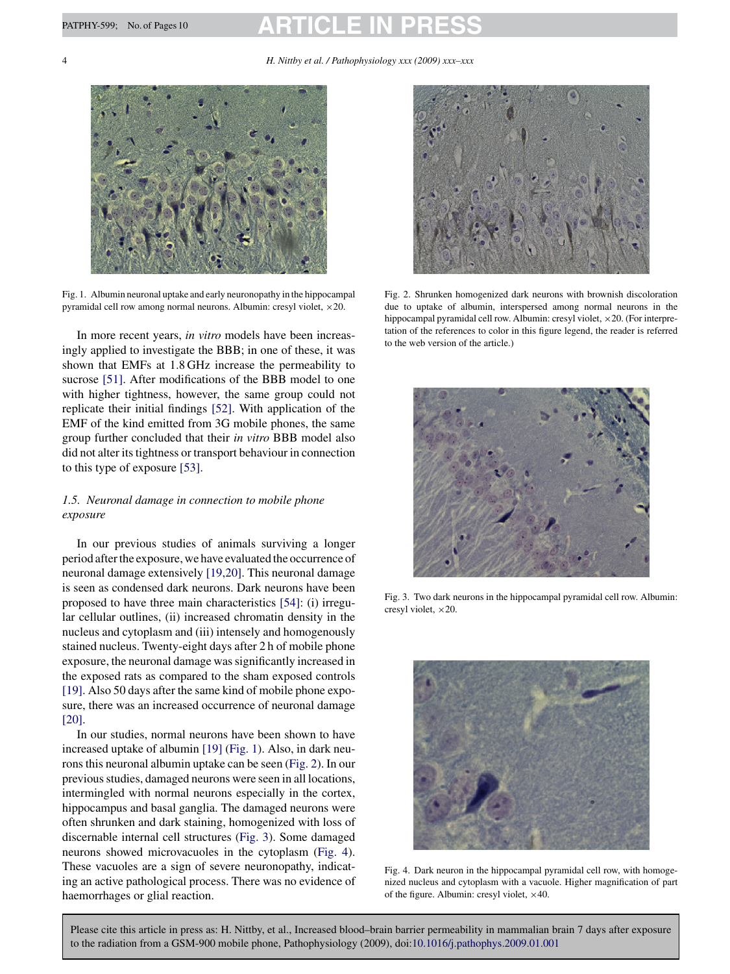<span id="page-3-0"></span>4 *H. Nittby et al. / Pathophysiology xxx (2009) xxx–xxx*



Fig. 1. Albumin neuronal uptake and early neuronopathy in the hippocampal pyramidal cell row among normal neurons. Albumin: cresyl violet, ×20.

<span id="page-3-1"></span>In more recent years, *in vitro* models have been increasingly applied to investigate the BBB; in one of these, it was shown that EMFs at 1.8 GHz increase the permeability to sucrose [\[51\].](#page-9-8) After modifications of the BBB model to one with higher tightness, however, the same group could not replicate their initial findings [\[52\].](#page-9-9) With application of the EMF of the kind emitted from 3G mobile phones, the same group further concluded that their *in vitro* BBB model also did not alter its tightness or transport behaviour in connection to this type of exposure [\[53\].](#page-9-10)

# *1.5. Neuronal damage in connection to mobile phone exposure*

<span id="page-3-2"></span>In our previous studies of animals surviving a longer period after the exposure, we have evaluated the occurrence of neuronal damage extensively [\[19,20\]. T](#page-8-7)his neuronal damage is seen as condensed dark neurons. Dark neurons have been proposed to have three main characteristics [\[54\]:](#page-9-11) (i) irregular cellular outlines, (ii) increased chromatin density in the nucleus and cytoplasm and (iii) intensely and homogenously stained nucleus. Twenty-eight days after 2 h of mobile phone exposure, the neuronal damage was significantly increased in the exposed rats as compared to the sham exposed controls [\[19\]. A](#page-8-7)lso 50 days after the same kind of mobile phone exposure, there was an increased occurrence of neuronal damage [\[20\].](#page-8-8)

In our studies, normal neurons have been shown to have increased uptake of albumin [\[19\]](#page-8-7) [\(Fig. 1\).](#page-3-0) Also, in dark neurons this neuronal albumin uptake can be seen ([Fig. 2\).](#page-3-0) In our previous studies, damaged neurons were seen in all locations, intermingled with normal neurons especially in the cortex, hippocampus and basal ganglia. The damaged neurons were often shrunken and dark staining, homogenized with loss of discernable internal cell structures [\(Fig. 3\).](#page-3-1) Some damaged neurons showed microvacuoles in the cytoplasm [\(Fig. 4\)](#page-3-2). These vacuoles are a sign of severe neuronopathy, indicating an active pathological process. There was no evidence of haemorrhages or glial reaction.



Fig. 2. Shrunken homogenized dark neurons with brownish discoloration due to uptake of albumin, interspersed among normal neurons in the hippocampal pyramidal cell row. Albumin: cresyl violet,  $\times$  20. (For interpretation of the references to color in this figure legend, the reader is referred to the web version of the article.)



Fig. 3. Two dark neurons in the hippocampal pyramidal cell row. Albumin: cresyl violet, ×20.



Fig. 4. Dark neuron in the hippocampal pyramidal cell row, with homogenized nucleus and cytoplasm with a vacuole. Higher magnification of part of the figure. Albumin: cresyl violet,  $\times$ 40.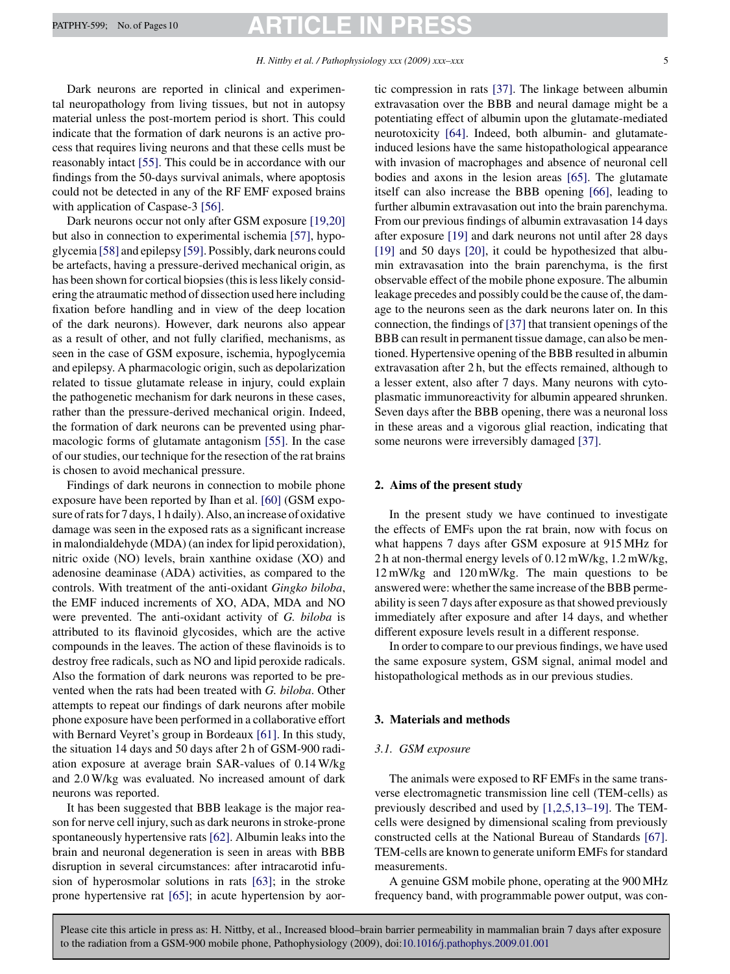Dark neurons are reported in clinical and experimental neuropathology from living tissues, but not in autopsy material unless the post-mortem period is short. This could indicate that the formation of dark neurons is an active process that requires living neurons and that these cells must be reasonably intact [\[55\].](#page-9-12) This could be in accordance with our findings from the 50-days survival animals, where apoptosis could not be detected in any of the RF EMF exposed brains with application of Caspase-3 [\[56\].](#page-9-13)

Dark neurons occur not only after GSM exposure [\[19,20\]](#page-8-7) but also in connection to experimental ischemia [\[57\],](#page-9-0) hypoglycemia [\[58\]](#page-9-14) and epilepsy [\[59\]. P](#page-9-15)ossibly, dark neurons could be artefacts, having a pressure-derived mechanical origin, as has been shown for cortical biopsies (this is less likely considering the atraumatic method of dissection used here including fixation before handling and in view of the deep location of the dark neurons). However, dark neurons also appear as a result of other, and not fully clarified, mechanisms, as seen in the case of GSM exposure, ischemia, hypoglycemia and epilepsy. A pharmacologic origin, such as depolarization related to tissue glutamate release in injury, could explain the pathogenetic mechanism for dark neurons in these cases, rather than the pressure-derived mechanical origin. Indeed, the formation of dark neurons can be prevented using pharmacologic forms of glutamate antagonism [\[55\].](#page-9-12) In the case of our studies, our technique for the resection of the rat brains is chosen to avoid mechanical pressure.

Findings of dark neurons in connection to mobile phone exposure have been reported by Ihan et al. [\[60\]](#page-9-4) (GSM exposure of rats for 7 days, 1 h daily). Also, an increase of oxidative damage was seen in the exposed rats as a significant increase in malondialdehyde (MDA) (an index for lipid peroxidation), nitric oxide (NO) levels, brain xanthine oxidase (XO) and adenosine deaminase (ADA) activities, as compared to the controls. With treatment of the anti-oxidant *Gingko biloba*, the EMF induced increments of XO, ADA, MDA and NO were prevented. The anti-oxidant activity of *G. biloba* is attributed to its flavinoid glycosides, which are the active compounds in the leaves. The action of these flavinoids is to destroy free radicals, such as NO and lipid peroxide radicals. Also the formation of dark neurons was reported to be prevented when the rats had been treated with *G. biloba*. Other attempts to repeat our findings of dark neurons after mobile phone exposure have been performed in a collaborative effort with Bernard Veyret's group in Bordeaux [\[61\]. I](#page-9-5)n this study, the situation 14 days and 50 days after 2 h of GSM-900 radiation exposure at average brain SAR-values of 0.14 W/kg and 2.0 W/kg was evaluated. No increased amount of dark neurons was reported.

It has been suggested that BBB leakage is the major reason for nerve cell injury, such as dark neurons in stroke-prone spontaneously hypertensive rats [\[62\].](#page-9-16) Albumin leaks into the brain and neuronal degeneration is seen in areas with BBB disruption in several circumstances: after intracarotid infusion of hyperosmolar solutions in rats [\[63\];](#page-9-17) in the stroke prone hypertensive rat [\[65\];](#page-9-18) in acute hypertension by aortic compression in rats [\[37\].](#page-8-17) The linkage between albumin extravasation over the BBB and neural damage might be a potentiating effect of albumin upon the glutamate-mediated neurotoxicity [\[64\].](#page-9-19) Indeed, both albumin- and glutamateinduced lesions have the same histopathological appearance with invasion of macrophages and absence of neuronal cell bodies and axons in the lesion areas [\[65\].](#page-9-18) The glutamate itself can also increase the BBB opening [\[66\],](#page-9-20) leading to further albumin extravasation out into the brain parenchyma. From our previous findings of albumin extravasation 14 days after exposure [\[19\]](#page-8-7) and dark neurons not until after 28 days [\[19\]](#page-8-7) and 50 days [\[20\],](#page-8-8) it could be hypothesized that albumin extravasation into the brain parenchyma, is the first observable effect of the mobile phone exposure. The albumin leakage precedes and possibly could be the cause of, the damage to the neurons seen as the dark neurons later on. In this connection, the findings of [\[37\]](#page-8-17) that transient openings of the BBB can result in permanent tissue damage, can also be mentioned. Hypertensive opening of the BBB resulted in albumin extravasation after 2 h, but the effects remained, although to a lesser extent, also after 7 days. Many neurons with cytoplasmatic immunoreactivity for albumin appeared shrunken. Seven days after the BBB opening, there was a neuronal loss in these areas and a vigorous glial reaction, indicating that some neurons were irreversibly damaged [\[37\].](#page-8-17)

### **2. Aims of the present study**

In the present study we have continued to investigate the effects of EMFs upon the rat brain, now with focus on what happens 7 days after GSM exposure at 915 MHz for 2 h at non-thermal energy levels of 0.12 mW/kg, 1.2 mW/kg, 12 mW/kg and 120 mW/kg. The main questions to be answered were: whether the same increase of the BBB permeability is seen 7 days after exposure as that showed previously immediately after exposure and after 14 days, and whether different exposure levels result in a different response.

In order to compare to our previous findings, we have used the same exposure system, GSM signal, animal model and histopathological methods as in our previous studies.

### **3. Materials and methods**

### *3.1. GSM exposure*

The animals were exposed to RF EMFs in the same transverse electromagnetic transmission line cell (TEM-cells) as previously described and used by [\[1,2,5,13–19\].](#page-7-0) The TEMcells were designed by dimensional scaling from previously constructed cells at the National Bureau of Standards [\[67\].](#page-9-11) TEM-cells are known to generate uniform EMFs for standard measurements.

A genuine GSM mobile phone, operating at the 900 MHz frequency band, with programmable power output, was con-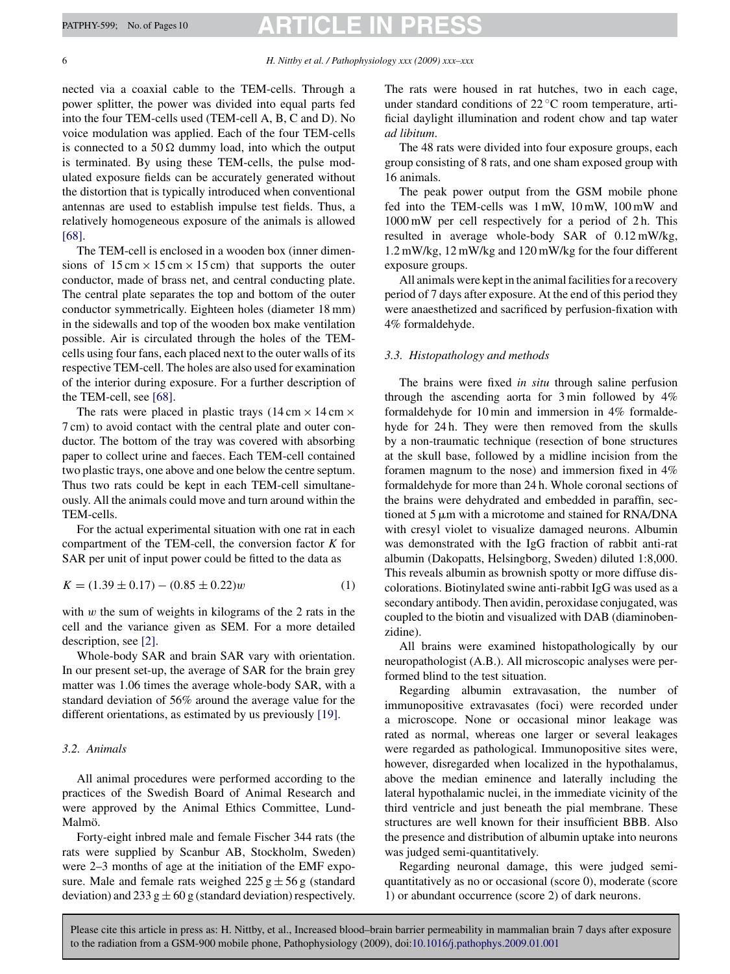nected via a coaxial cable to the TEM-cells. Through a power splitter, the power was divided into equal parts fed into the four TEM-cells used (TEM-cell A, B, C and D). No voice modulation was applied. Each of the four TEM-cells is connected to a 50  $\Omega$  dummy load, into which the output is terminated. By using these TEM-cells, the pulse modulated exposure fields can be accurately generated without the distortion that is typically introduced when conventional antennas are used to establish impulse test fields. Thus, a relatively homogeneous exposure of the animals is allowed [\[68\].](#page-9-21)

The TEM-cell is enclosed in a wooden box (inner dimensions of  $15 \text{ cm} \times 15 \text{ cm} \times 15 \text{ cm}$  that supports the outer conductor, made of brass net, and central conducting plate. The central plate separates the top and bottom of the outer conductor symmetrically. Eighteen holes (diameter 18 mm) in the sidewalls and top of the wooden box make ventilation possible. Air is circulated through the holes of the TEMcells using four fans, each placed next to the outer walls of its respective TEM-cell. The holes are also used for examination of the interior during exposure. For a further description of the TEM-cell, see [\[68\].](#page-9-21)

The rats were placed in plastic trays  $(14 \text{ cm} \times 14 \text{ cm} \times$ 7 cm) to avoid contact with the central plate and outer conductor. The bottom of the tray was covered with absorbing paper to collect urine and faeces. Each TEM-cell contained two plastic trays, one above and one below the centre septum. Thus two rats could be kept in each TEM-cell simultaneously. All the animals could move and turn around within the TEM-cells.

For the actual experimental situation with one rat in each compartment of the TEM-cell, the conversion factor *K* for SAR per unit of input power could be fitted to the data as

$$
K = (1.39 \pm 0.17) - (0.85 \pm 0.22)w
$$
 (1)

with  $w$  the sum of weights in kilograms of the 2 rats in the cell and the variance given as SEM. For a more detailed description, see [\[2\].](#page-7-1)

Whole-body SAR and brain SAR vary with orientation. In our present set-up, the average of SAR for the brain grey matter was 1.06 times the average whole-body SAR, with a standard deviation of 56% around the average value for the different orientations, as estimated by us previously [\[19\].](#page-8-7)

### *3.2. Animals*

All animal procedures were performed according to the practices of the Swedish Board of Animal Research and were approved by the Animal Ethics Committee, Lund-Malmö.

Forty-eight inbred male and female Fischer 344 rats (the rats were supplied by Scanbur AB, Stockholm, Sweden) were 2–3 months of age at the initiation of the EMF exposure. Male and female rats weighed  $225 g \pm 56 g$  (standard deviation) and 233 g  $\pm$  60 g (standard deviation) respectively.

The rats were housed in rat hutches, two in each cage, under standard conditions of 22 ◦C room temperature, artificial daylight illumination and rodent chow and tap water *ad libitum*.

The 48 rats were divided into four exposure groups, each group consisting of 8 rats, and one sham exposed group with 16 animals.

The peak power output from the GSM mobile phone fed into the TEM-cells was 1 mW, 10 mW, 100 mW and 1000 mW per cell respectively for a period of 2 h. This resulted in average whole-body SAR of 0.12 mW/kg, 1.2 mW/kg, 12 mW/kg and 120 mW/kg for the four different exposure groups.

All animals were kept in the animal facilities for a recovery period of 7 days after exposure. At the end of this period they were anaesthetized and sacrificed by perfusion-fixation with 4% formaldehyde.

### *3.3. Histopathology and methods*

The brains were fixed *in situ* through saline perfusion through the ascending aorta for 3 min followed by 4% formaldehyde for 10 min and immersion in 4% formaldehyde for 24 h. They were then removed from the skulls by a non-traumatic technique (resection of bone structures at the skull base, followed by a midline incision from the foramen magnum to the nose) and immersion fixed in 4% formaldehyde for more than 24 h. Whole coronal sections of the brains were dehydrated and embedded in paraffin, sectioned at  $5 \mu m$  with a microtome and stained for RNA/DNA with cresyl violet to visualize damaged neurons. Albumin was demonstrated with the IgG fraction of rabbit anti-rat albumin (Dakopatts, Helsingborg, Sweden) diluted 1:8,000. This reveals albumin as brownish spotty or more diffuse discolorations. Biotinylated swine anti-rabbit IgG was used as a secondary antibody. Then avidin, peroxidase conjugated, was coupled to the biotin and visualized with DAB (diaminobenzidine).

All brains were examined histopathologically by our neuropathologist (A.B.). All microscopic analyses were performed blind to the test situation.

Regarding albumin extravasation, the number of immunopositive extravasates (foci) were recorded under a microscope. None or occasional minor leakage was rated as normal, whereas one larger or several leakages were regarded as pathological. Immunopositive sites were, however, disregarded when localized in the hypothalamus, above the median eminence and laterally including the lateral hypothalamic nuclei, in the immediate vicinity of the third ventricle and just beneath the pial membrane. These structures are well known for their insufficient BBB. Also the presence and distribution of albumin uptake into neurons was judged semi-quantitatively.

Regarding neuronal damage, this were judged semiquantitatively as no or occasional (score 0), moderate (score 1) or abundant occurrence (score 2) of dark neurons.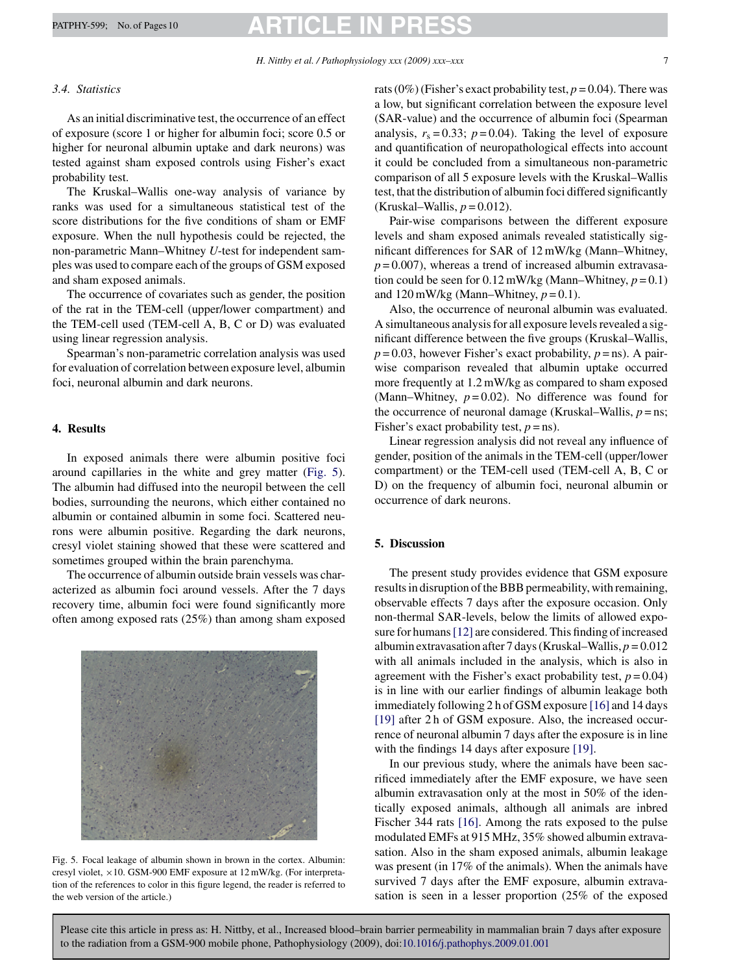### *3.4. Statistics*

As an initial discriminative test, the occurrence of an effect of exposure (score 1 or higher for albumin foci; score 0.5 or higher for neuronal albumin uptake and dark neurons) was tested against sham exposed controls using Fisher's exact probability test.

The Kruskal–Wallis one-way analysis of variance by ranks was used for a simultaneous statistical test of the score distributions for the five conditions of sham or EMF exposure. When the null hypothesis could be rejected, the non-parametric Mann–Whitney *U*-test for independent samples was used to compare each of the groups of GSM exposed and sham exposed animals.

The occurrence of covariates such as gender, the position of the rat in the TEM-cell (upper/lower compartment) and the TEM-cell used (TEM-cell A, B, C or D) was evaluated using linear regression analysis.

Spearman's non-parametric correlation analysis was used for evaluation of correlation between exposure level, albumin foci, neuronal albumin and dark neurons.

### **4. Results**

In exposed animals there were albumin positive foci around capillaries in the white and grey matter ([Fig. 5\)](#page-6-0). The albumin had diffused into the neuropil between the cell bodies, surrounding the neurons, which either contained no albumin or contained albumin in some foci. Scattered neurons were albumin positive. Regarding the dark neurons, cresyl violet staining showed that these were scattered and sometimes grouped within the brain parenchyma.

<span id="page-6-0"></span>The occurrence of albumin outside brain vessels was characterized as albumin foci around vessels. After the 7 days recovery time, albumin foci were found significantly more often among exposed rats (25%) than among sham exposed



Fig. 5. Focal leakage of albumin shown in brown in the cortex. Albumin: cresyl violet,  $\times$ 10. GSM-900 EMF exposure at 12 mW/kg. (For interpretation of the references to color in this figure legend, the reader is referred to the web version of the article.)

rats (0%) (Fisher's exact probability test,  $p = 0.04$ ). There was a low, but significant correlation between the exposure level (SAR-value) and the occurrence of albumin foci (Spearman analysis,  $r_s = 0.33$ ;  $p = 0.04$ ). Taking the level of exposure and quantification of neuropathological effects into account it could be concluded from a simultaneous non-parametric comparison of all 5 exposure levels with the Kruskal–Wallis test, that the distribution of albumin foci differed significantly (Kruskal–Wallis,  $p = 0.012$ ).

Pair-wise comparisons between the different exposure levels and sham exposed animals revealed statistically significant differences for SAR of 12 mW/kg (Mann–Whitney,  $p = 0.007$ , whereas a trend of increased albumin extravasation could be seen for  $0.12 \text{ mW/kg}$  (Mann–Whitney,  $p = 0.1$ ) and  $120 \text{ mW/kg}$  (Mann–Whitney,  $p = 0.1$ ).

Also, the occurrence of neuronal albumin was evaluated. A simultaneous analysis for all exposure levels revealed a significant difference between the five groups (Kruskal–Wallis,  $p = 0.03$ , however Fisher's exact probability,  $p =$ ns). A pairwise comparison revealed that albumin uptake occurred more frequently at 1.2 mW/kg as compared to sham exposed (Mann–Whitney,  $p = 0.02$ ). No difference was found for the occurrence of neuronal damage (Kruskal–Wallis,  $p = ns$ ; Fisher's exact probability test,  $p = \text{ns}$ ).

Linear regression analysis did not reveal any influence of gender, position of the animals in the TEM-cell (upper/lower compartment) or the TEM-cell used (TEM-cell A, B, C or D) on the frequency of albumin foci, neuronal albumin or occurrence of dark neurons.

### **5. Discussion**

The present study provides evidence that GSM exposure results in disruption of the BBB permeability, with remaining, observable effects 7 days after the exposure occasion. Only non-thermal SAR-levels, below the limits of allowed exposure for humans[\[12\]](#page-8-6) are considered. This finding of increased albumin extravasation after 7 days (Kruskal–Wallis, *p* = 0.012 with all animals included in the analysis, which is also in agreement with the Fisher's exact probability test,  $p = 0.04$ ) is in line with our earlier findings of albumin leakage both immediately following 2 h of GSM exposure [\[16\]](#page-8-29) and 14 days [\[19\]](#page-8-7) after 2 h of GSM exposure. Also, the increased occurrence of neuronal albumin 7 days after the exposure is in line with the findings 14 days after exposure [\[19\].](#page-8-7)

In our previous study, where the animals have been sacrificed immediately after the EMF exposure, we have seen albumin extravasation only at the most in 50% of the identically exposed animals, although all animals are inbred Fischer 344 rats [\[16\].](#page-8-29) Among the rats exposed to the pulse modulated EMFs at 915 MHz, 35% showed albumin extravasation. Also in the sham exposed animals, albumin leakage was present (in 17% of the animals). When the animals have survived 7 days after the EMF exposure, albumin extravasation is seen in a lesser proportion (25% of the exposed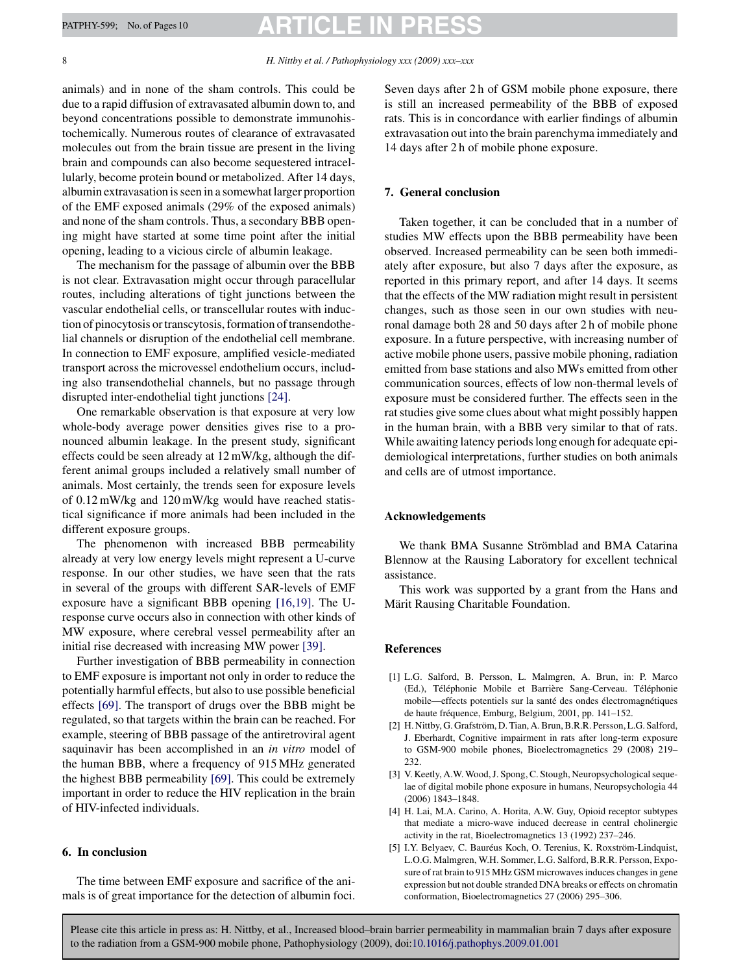8 *H. Nittby et al. / Pathophysiology xxx (2009) xxx–xxx*

animals) and in none of the sham controls. This could be due to a rapid diffusion of extravasated albumin down to, and beyond concentrations possible to demonstrate immunohistochemically. Numerous routes of clearance of extravasated molecules out from the brain tissue are present in the living brain and compounds can also become sequestered intracellularly, become protein bound or metabolized. After 14 days, albumin extravasation is seen in a somewhat larger proportion of the EMF exposed animals (29% of the exposed animals) and none of the sham controls. Thus, a secondary BBB opening might have started at some time point after the initial opening, leading to a vicious circle of albumin leakage.

The mechanism for the passage of albumin over the BBB is not clear. Extravasation might occur through paracellular routes, including alterations of tight junctions between the vascular endothelial cells, or transcellular routes with induction of pinocytosis or transcytosis, formation of transendothelial channels or disruption of the endothelial cell membrane. In connection to EMF exposure, amplified vesicle-mediated transport across the microvessel endothelium occurs, including also transendothelial channels, but no passage through disrupted inter-endothelial tight junctions [\[24\].](#page-8-10)

One remarkable observation is that exposure at very low whole-body average power densities gives rise to a pronounced albumin leakage. In the present study, significant effects could be seen already at 12 mW/kg, although the different animal groups included a relatively small number of animals. Most certainly, the trends seen for exposure levels of 0.12 mW/kg and 120 mW/kg would have reached statistical significance if more animals had been included in the different exposure groups.

The phenomenon with increased BBB permeability already at very low energy levels might represent a U-curve response. In our other studies, we have seen that the rats in several of the groups with different SAR-levels of EMF exposure have a significant BBB opening [\[16,19\].](#page-8-29) The Uresponse curve occurs also in connection with other kinds of MW exposure, where cerebral vessel permeability after an initial rise decreased with increasing MW power [\[39\].](#page-8-19)

<span id="page-7-2"></span><span id="page-7-1"></span><span id="page-7-0"></span>Further investigation of BBB permeability in connection to EMF exposure is important not only in order to reduce the potentially harmful effects, but also to use possible beneficial effects [\[69\].](#page-9-22) The transport of drugs over the BBB might be regulated, so that targets within the brain can be reached. For example, steering of BBB passage of the antiretroviral agent saquinavir has been accomplished in an *in vitro* model of the human BBB, where a frequency of 915 MHz generated the highest BBB permeability [\[69\].](#page-9-22) This could be extremely important in order to reduce the HIV replication in the brain of HIV-infected individuals.

### <span id="page-7-3"></span>**6. In conclusion**

The time between EMF exposure and sacrifice of the animals is of great importance for the detection of albumin foci. Seven days after 2 h of GSM mobile phone exposure, there is still an increased permeability of the BBB of exposed rats. This is in concordance with earlier findings of albumin extravasation out into the brain parenchyma immediately and 14 days after 2 h of mobile phone exposure.

### **7. General conclusion**

Taken together, it can be concluded that in a number of studies MW effects upon the BBB permeability have been observed. Increased permeability can be seen both immediately after exposure, but also 7 days after the exposure, as reported in this primary report, and after 14 days. It seems that the effects of the MW radiation might result in persistent changes, such as those seen in our own studies with neuronal damage both 28 and 50 days after 2 h of mobile phone exposure. In a future perspective, with increasing number of active mobile phone users, passive mobile phoning, radiation emitted from base stations and also MWs emitted from other communication sources, effects of low non-thermal levels of exposure must be considered further. The effects seen in the rat studies give some clues about what might possibly happen in the human brain, with a BBB very similar to that of rats. While awaiting latency periods long enough for adequate epidemiological interpretations, further studies on both animals and cells are of utmost importance.

# **Acknowledgements**

We thank BMA Susanne Strömblad and BMA Catarina Blennow at the Rausing Laboratory for excellent technical assistance.

This work was supported by a grant from the Hans and Märit Rausing Charitable Foundation.

### **References**

- [1] L.G. Salford, B. Persson, L. Malmgren, A. Brun, in: P. Marco (Ed.), Téléphonie Mobile et Barrière Sang-Cerveau. Téléphonie mobile—effects potentiels sur la santé des ondes électromagnétiques de haute fréquence, Emburg, Belgium, 2001, pp. 141–152.
- [2] H. Nittby, G. Grafström, D. Tian, A. Brun, B.R.R. Persson, L.G. Salford, J. Eberhardt, Cognitive impairment in rats after long-term exposure to GSM-900 mobile phones, Bioelectromagnetics 29 (2008) 219– 232.
- [3] V. Keetly, A.W. Wood, J. Spong, C. Stough, Neuropsychological sequelae of digital mobile phone exposure in humans, Neuropsychologia 44 (2006) 1843–1848.
- [4] H. Lai, M.A. Carino, A. Horita, A.W. Guy, Opioid receptor subtypes that mediate a micro-wave induced decrease in central cholinergic activity in the rat, Bioelectromagnetics 13 (1992) 237–246.
- [5] I.Y. Belyaev, C. Bauréus Koch, O. Terenius, K. Roxström-Lindquist, L.O.G. Malmgren, W.H. Sommer, L.G. Salford, B.R.R. Persson, Exposure of rat brain to 915 MHz GSM microwaves induces changes in gene expression but not double stranded DNA breaks or effects on chromatin conformation, Bioelectromagnetics 27 (2006) 295–306.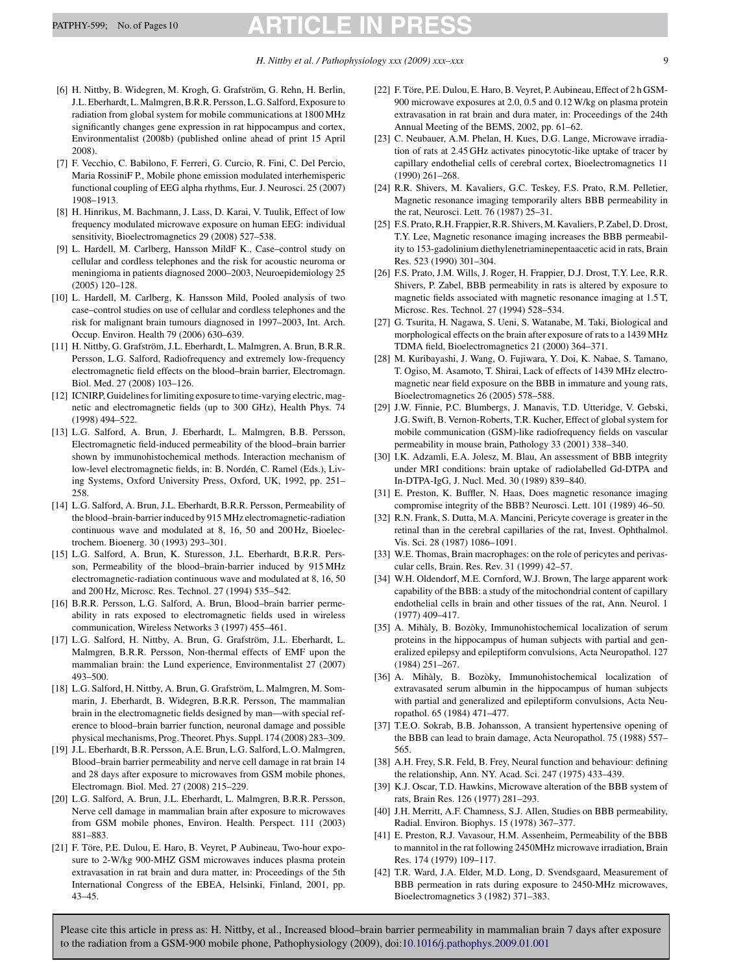- <span id="page-8-26"></span><span id="page-8-10"></span><span id="page-8-1"></span><span id="page-8-0"></span>[6] H. Nittby, B. Widegren, M. Krogh, G. Grafström, G. Rehn, H. Berlin, J.L. Eberhardt, L.Malmgren, B.R.R. Persson, L.G. Salford, Exposure to radiation from global system for mobile communications at 1800 MHz significantly changes gene expression in rat hippocampus and cortex, Environmentalist (2008b) (published online ahead of print 15 April 2008).
- <span id="page-8-23"></span><span id="page-8-3"></span><span id="page-8-2"></span>[7] F. Vecchio, C. Babilono, F. Ferreri, G. Curcio, R. Fini, C. Del Percio, Maria RossiniF P., Mobile phone emission modulated interhemisperic functional coupling of EEG alpha rhythms, Eur. J. Neurosci. 25 (2007) 1908–1913.
- <span id="page-8-4"></span>[8] H. Hinrikus, M. Bachmann, J. Lass, D. Karai, V. Tuulik, Effect of low frequency modulated microwave exposure on human EEG: individual sensitivity, Bioelectromagnetics 29 (2008) 527–538.
- <span id="page-8-11"></span>[9] L. Hardell, M. Carlberg, Hansson MildF K., Case–control study on cellular and cordless telephones and the risk for acoustic neuroma or meningioma in patients diagnosed 2000–2003, Neuroepidemiology 25 (2005) 120–128.
- <span id="page-8-27"></span><span id="page-8-5"></span>[10] L. Hardell, M. Carlberg, K. Hansson Mild, Pooled analysis of two case–control studies on use of cellular and cordless telephones and the risk for malignant brain tumours diagnosed in 1997–2003, Int. Arch. Occup. Environ. Health 79 (2006) 630–639.
- <span id="page-8-28"></span><span id="page-8-24"></span><span id="page-8-6"></span>[11] H. Nittby, G. Grafström, J.L. Eberhardt, L. Malmgren, A. Brun, B.R.R. Persson, L.G. Salford, Radiofrequency and extremely low-frequency electromagnetic field effects on the blood–brain barrier, Electromagn. Biol. Med. 27 (2008) 103–126.
- <span id="page-8-12"></span>[12] ICNIRP, Guidelines for limiting exposure to time-varying electric, magnetic and electromagnetic fields (up to 300 GHz), Health Phys. 74 (1998) 494–522.
- <span id="page-8-25"></span><span id="page-8-22"></span><span id="page-8-13"></span>[13] L.G. Salford, A. Brun, J. Eberhardt, L. Malmgren, B.B. Persson, Electromagnetic field-induced permeability of the blood–brain barrier shown by immunohistochemical methods. Interaction mechanism of low-level electromagnetic fields, in: B. Nordén, C. Ramel (Eds.), Living Systems, Oxford University Press, Oxford, UK, 1992, pp. 251– 258.
- <span id="page-8-15"></span><span id="page-8-14"></span>[14] L.G. Salford, A. Brun, J.L. Eberhardt, B.R.R. Persson, Permeability of the blood–brain-barrier induced by 915 MHz electromagnetic-radiation continuous wave and modulated at 8, 16, 50 and 200 Hz, Bioelectrochem. Bioenerg. 30 (1993) 293–301.
- <span id="page-8-29"></span><span id="page-8-16"></span>[15] L.G. Salford, A. Brun, K. Sturesson, J.L. Eberhardt, B.R.R. Persson, Permeability of the blood–brain-barrier induced by 915 MHz electromagnetic-radiation continuous wave and modulated at 8, 16, 50 and 200 Hz, Microsc. Res. Technol. 27 (1994) 535–542.
- [16] B.R.R. Persson, L.G. Salford, A. Brun, Blood–brain barrier permeability in rats exposed to electromagnetic fields used in wireless communication, Wireless Networks 3 (1997) 455–461.
- <span id="page-8-17"></span>[17] L.G. Salford, H. Nittby, A. Brun, G. Grafström, J.L. Eberhardt, L. Malmgren, B.R.R. Persson, Non-thermal effects of EMF upon the mammalian brain: the Lund experience, Environmentalist 27 (2007) 493–500.
- <span id="page-8-19"></span><span id="page-8-18"></span><span id="page-8-7"></span>[18] L.G. Salford, H. Nittby, A. Brun, G. Grafström, L. Malmgren, M. Sommarin, J. Eberhardt, B. Widegren, B.R.R. Persson, The mammalian brain in the electromagnetic fields designed by man—with special reference to blood–brain barrier function, neuronal damage and possible physical mechanisms, Prog. Theoret. Phys. Suppl. 174 (2008) 283–309.
- <span id="page-8-20"></span><span id="page-8-8"></span>[19] J.L. Eberhardt, B.R. Persson, A.E. Brun, L.G. Salford, L.O. Malmgren, Blood–brain barrier permeability and nerve cell damage in rat brain 14 and 28 days after exposure to microwaves from GSM mobile phones, Electromagn. Biol. Med. 27 (2008) 215–229.
- <span id="page-8-21"></span><span id="page-8-9"></span>[20] L.G. Salford, A. Brun, J.L. Eberhardt, L. Malmgren, B.R.R. Persson, Nerve cell damage in mammalian brain after exposure to microwaves from GSM mobile phones, Environ. Health. Perspect. 111 (2003) 881–883.
- [21] F. Töre, P.E. Dulou, E. Haro, B. Veyret, P Aubineau, Two-hour exposure to 2-W/kg 900-MHZ GSM microwaves induces plasma protein extravasation in rat brain and dura matter, in: Proceedings of the 5th International Congress of the EBEA, Helsinki, Finland, 2001, pp. 43–45.
- [22] F. Töre, P.E. Dulou, E. Haro, B. Veyret, P. Aubineau, Effect of 2 h GSM-900 microwave exposures at 2.0, 0.5 and 0.12 W/kg on plasma protein extravasation in rat brain and dura mater, in: Proceedings of the 24th Annual Meeting of the BEMS, 2002, pp. 61–62.
- [23] C. Neubauer, A.M. Phelan, H. Kues, D.G. Lange, Microwave irradiation of rats at 2.45 GHz activates pinocytotic-like uptake of tracer by capillary endothelial cells of cerebral cortex, Bioelectromagnetics 11 (1990) 261–268.
- [24] R.R. Shivers, M. Kavaliers, G.C. Teskey, F.S. Prato, R.M. Pelletier, Magnetic resonance imaging temporarily alters BBB permeability in the rat, Neurosci. Lett. 76 (1987) 25–31.
- [25] F.S. Prato, R.H. Frappier, R.R. Shivers, M. Kavaliers, P. Zabel, D. Drost, T.Y. Lee, Magnetic resonance imaging increases the BBB permeability to 153-gadolinium diethylenetriaminepentaacetic acid in rats, Brain Res. 523 (1990) 301–304.
- [26] F.S. Prato, J.M. Wills, J. Roger, H. Frappier, D.J. Drost, T.Y. Lee, R.R. Shivers, P. Zabel, BBB permeability in rats is altered by exposure to magnetic fields associated with magnetic resonance imaging at 1.5 T, Microsc. Res. Technol. 27 (1994) 528–534.
- [27] G. Tsurita, H. Nagawa, S. Ueni, S. Watanabe, M. Taki, Biological and morphological effects on the brain after exposure of rats to a 1439 MHz TDMA field, Bioelectromagnetics 21 (2000) 364–371.
- [28] M. Kuribayashi, J. Wang, O. Fujiwara, Y. Doi, K. Nabae, S. Tamano, T. Ogiso, M. Asamoto, T. Shirai, Lack of effects of 1439 MHz electromagnetic near field exposure on the BBB in immature and young rats, Bioelectromagnetics 26 (2005) 578–588.
- [29] J.W. Finnie, P.C. Blumbergs, J. Manavis, T.D. Utteridge, V. Gebski, J.G. Swift, B. Vernon-Roberts, T.R. Kucher, Effect of global system for mobile communication (GSM)-like radiofrequency fields on vascular permeability in mouse brain, Pathology 33 (2001) 338–340.
- [30] I.K. Adzamli, E.A. Jolesz, M. Blau, An assessment of BBB integrity under MRI conditions: brain uptake of radiolabelled Gd-DTPA and In-DTPA-IgG, J. Nucl. Med. 30 (1989) 839–840.
- [31] E. Preston, K. Buffler, N. Haas, Does magnetic resonance imaging compromise integrity of the BBB? Neurosci. Lett. 101 (1989) 46–50.
- [32] R.N. Frank, S. Dutta, M.A. Mancini, Pericyte coverage is greater in the retinal than in the cerebral capillaries of the rat, Invest. Ophthalmol. Vis. Sci. 28 (1987) 1086–1091.
- [33] W.E. Thomas, Brain macrophages: on the role of pericytes and perivascular cells, Brain. Res. Rev. 31 (1999) 42–57.
- [34] W.H. Oldendorf, M.E. Cornford, W.J. Brown, The large apparent work capability of the BBB: a study of the mitochondrial content of capillary endothelial cells in brain and other tissues of the rat, Ann. Neurol. 1 (1977) 409–417.
- [35] A. Mihàly, B. Bozòky, Immunohistochemical localization of serum proteins in the hippocampus of human subjects with partial and generalized epilepsy and epileptiform convulsions, Acta Neuropathol. 127 (1984) 251–267.
- [36] A. Mihàly, B. Bozòky, Immunohistochemical localization of extravasated serum albumin in the hippocampus of human subjects with partial and generalized and epileptiform convulsions, Acta Neuropathol. 65 (1984) 471–477.
- [37] T.E.O. Sokrab, B.B. Johansson, A transient hypertensive opening of the BBB can lead to brain damage, Acta Neuropathol. 75 (1988) 557– 565.
- [38] A.H. Frey, S.R. Feld, B. Frey, Neural function and behaviour: defining the relationship, Ann. NY. Acad. Sci. 247 (1975) 433–439.
- [39] K.J. Oscar, T.D. Hawkins, Microwave alteration of the BBB system of rats, Brain Res. 126 (1977) 281–293.
- [40] J.H. Merritt, A.F. Chamness, S.J. Allen, Studies on BBB permeability, Radial. Environ. Biophys. 15 (1978) 367–377.
- [41] E. Preston, R.J. Vavasour, H.M. Assenheim, Permeability of the BBB to mannitol in the rat following 2450MHz microwave irradiation, Brain Res. 174 (1979) 109–117.
- [42] T.R. Ward, J.A. Elder, M.D. Long, D. Svendsgaard, Measurement of BBB permeation in rats during exposure to 2450-MHz microwaves, Bioelectromagnetics 3 (1982) 371–383.